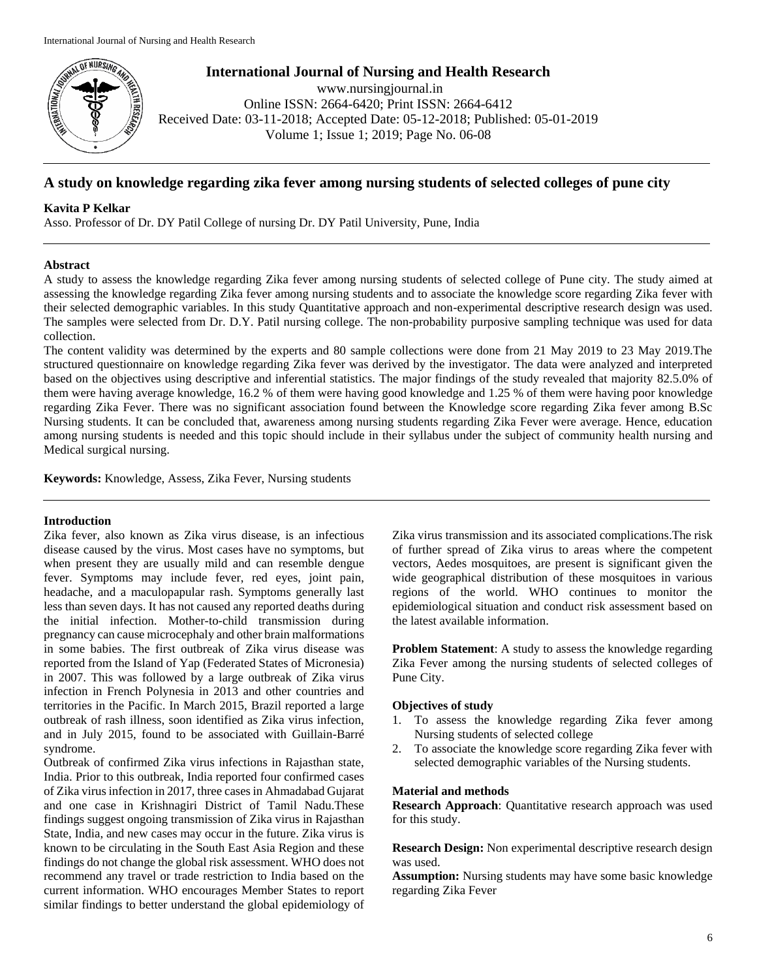

**International Journal of Nursing and Health Research**

www.nursingjournal.in Online ISSN: 2664-6420; Print ISSN: 2664-6412 Received Date: 03-11-2018; Accepted Date: 05-12-2018; Published: 05-01-2019 Volume 1; Issue 1; 2019; Page No. 06-08

# **A study on knowledge regarding zika fever among nursing students of selected colleges of pune city**

# **Kavita P Kelkar**

Asso. Professor of Dr. DY Patil College of nursing Dr. DY Patil University, Pune, India

# **Abstract**

A study to assess the knowledge regarding Zika fever among nursing students of selected college of Pune city. The study aimed at assessing the knowledge regarding Zika fever among nursing students and to associate the knowledge score regarding Zika fever with their selected demographic variables. In this study Quantitative approach and non-experimental descriptive research design was used. The samples were selected from Dr. D.Y. Patil nursing college. The non-probability purposive sampling technique was used for data collection.

The content validity was determined by the experts and 80 sample collections were done from 21 May 2019 to 23 May 2019.The structured questionnaire on knowledge regarding Zika fever was derived by the investigator. The data were analyzed and interpreted based on the objectives using descriptive and inferential statistics. The major findings of the study revealed that majority 82.5.0% of them were having average knowledge, 16.2 % of them were having good knowledge and 1.25 % of them were having poor knowledge regarding Zika Fever. There was no significant association found between the Knowledge score regarding Zika fever among B.Sc Nursing students. It can be concluded that, awareness among nursing students regarding Zika Fever were average. Hence, education among nursing students is needed and this topic should include in their syllabus under the subject of community health nursing and Medical surgical nursing.

**Keywords:** Knowledge, Assess, Zika Fever, Nursing students

# **Introduction**

Zika fever, also known as Zika virus disease, is an infectious disease caused by the virus. Most cases have no symptoms, but when present they are usually mild and can resemble dengue fever. Symptoms may include fever, red eyes, joint pain, headache, and a maculopapular rash. Symptoms generally last less than seven days. It has not caused any reported deaths during the initial infection. Mother-to-child transmission during pregnancy can cause microcephaly and other brain malformations in some babies. The first outbreak of Zika virus disease was reported from the Island of Yap (Federated States of Micronesia) in 2007. This was followed by a large outbreak of Zika virus infection in French Polynesia in 2013 and other countries and territories in the Pacific. In March 2015, Brazil reported a large outbreak of rash illness, soon identified as Zika virus infection, and in July 2015, found to be associated with Guillain-Barré syndrome.

Outbreak of confirmed Zika virus infections in Rajasthan state, India. Prior to this outbreak, India reported four confirmed cases of Zika virus infection in 2017, three cases in Ahmadabad Gujarat and one case in Krishnagiri District of Tamil Nadu.These findings suggest ongoing transmission of Zika virus in Rajasthan State, India, and new cases may occur in the future. Zika virus is known to be circulating in the South East Asia Region and these findings do not change the global risk assessment. WHO does not recommend any travel or trade restriction to India based on the current information. WHO encourages Member States to report similar findings to better understand the global epidemiology of Zika virus transmission and its associated complications.The risk of further spread of Zika virus to areas where the competent vectors, Aedes mosquitoes, are present is significant given the wide geographical distribution of these mosquitoes in various regions of the world. WHO continues to monitor the epidemiological situation and conduct risk assessment based on the latest available information.

**Problem Statement:** A study to assess the knowledge regarding Zika Fever among the nursing students of selected colleges of Pune City.

# **Objectives of study**

- 1. To assess the knowledge regarding Zika fever among Nursing students of selected college
- 2. To associate the knowledge score regarding Zika fever with selected demographic variables of the Nursing students.

## **Material and methods**

**Research Approach**: Quantitative research approach was used for this study.

**Research Design:** Non experimental descriptive research design was used.

**Assumption:** Nursing students may have some basic knowledge regarding Zika Fever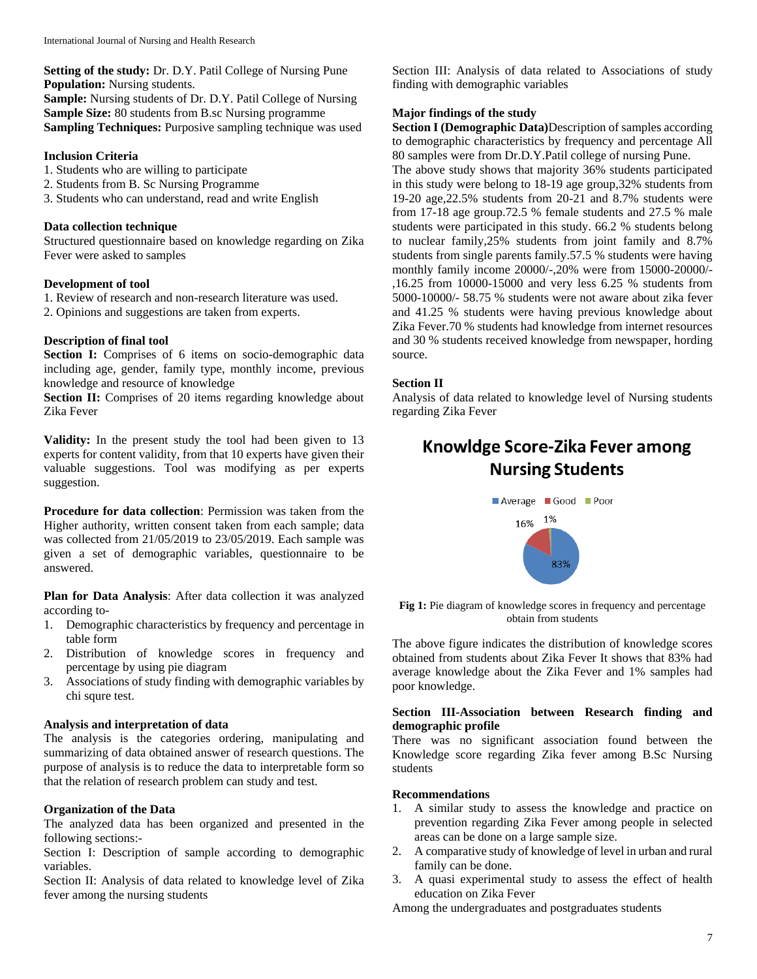**Setting of the study:** Dr. D.Y. Patil College of Nursing Pune **Population:** Nursing students. **Sample:** Nursing students of Dr. D.Y. Patil College of Nursing **Sample Size:** 80 students from B.sc Nursing programme **Sampling Techniques:** Purposive sampling technique was used

## **Inclusion Criteria**

- 1. Students who are willing to participate
- 2. Students from B. Sc Nursing Programme
- 3. Students who can understand, read and write English

#### **Data collection technique**

Structured questionnaire based on knowledge regarding on Zika Fever were asked to samples

## **Development of tool**

1. Review of research and non-research literature was used.

2. Opinions and suggestions are taken from experts.

# **Description of final tool**

**Section I:** Comprises of 6 items on socio-demographic data including age, gender, family type, monthly income, previous knowledge and resource of knowledge

**Section II:** Comprises of 20 items regarding knowledge about Zika Fever

**Validity:** In the present study the tool had been given to 13 experts for content validity, from that 10 experts have given their valuable suggestions. Tool was modifying as per experts suggestion.

**Procedure for data collection**: Permission was taken from the Higher authority, written consent taken from each sample; data was collected from 21/05/2019 to 23/05/2019. Each sample was given a set of demographic variables, questionnaire to be answered.

**Plan for Data Analysis**: After data collection it was analyzed according to-

- 1. Demographic characteristics by frequency and percentage in table form
- 2. Distribution of knowledge scores in frequency and percentage by using pie diagram
- 3. Associations of study finding with demographic variables by chi squre test.

#### **Analysis and interpretation of data**

The analysis is the categories ordering, manipulating and summarizing of data obtained answer of research questions. The purpose of analysis is to reduce the data to interpretable form so that the relation of research problem can study and test.

## **Organization of the Data**

The analyzed data has been organized and presented in the following sections:-

Section I: Description of sample according to demographic variables.

Section II: Analysis of data related to knowledge level of Zika fever among the nursing students

Section III: Analysis of data related to Associations of study finding with demographic variables

#### **Major findings of the study**

**Section I (Demographic Data)**Description of samples according to demographic characteristics by frequency and percentage All 80 samples were from Dr.D.Y.Patil college of nursing Pune.

The above study shows that majority 36% students participated in this study were belong to 18-19 age group,32% students from 19-20 age,22.5% students from 20-21 and 8.7% students were from 17-18 age group.72.5 % female students and 27.5 % male students were participated in this study. 66.2 % students belong to nuclear family,25% students from joint family and 8.7% students from single parents family.57.5 % students were having monthly family income 20000/-,20% were from 15000-20000/- ,16.25 from 10000-15000 and very less 6.25 % students from 5000-10000/- 58.75 % students were not aware about zika fever and 41.25 % students were having previous knowledge about Zika Fever.70 % students had knowledge from internet resources and 30 % students received knowledge from newspaper, hording source.

## **Section II**

Analysis of data related to knowledge level of Nursing students regarding Zika Fever

# Knowldge Score-Zika Fever among **Nursing Students**



Fig 1: Pie diagram of knowledge scores in frequency and percentage obtain from students

The above figure indicates the distribution of knowledge scores obtained from students about Zika Fever It shows that 83% had average knowledge about the Zika Fever and 1% samples had poor knowledge.

# **Section III-Association between Research finding and demographic profile**

There was no significant association found between the Knowledge score regarding Zika fever among B.Sc Nursing students

## **Recommendations**

- 1. A similar study to assess the knowledge and practice on prevention regarding Zika Fever among people in selected areas can be done on a large sample size.
- 2. A comparative study of knowledge of level in urban and rural family can be done.
- 3. A quasi experimental study to assess the effect of health education on Zika Fever

Among the undergraduates and postgraduates students